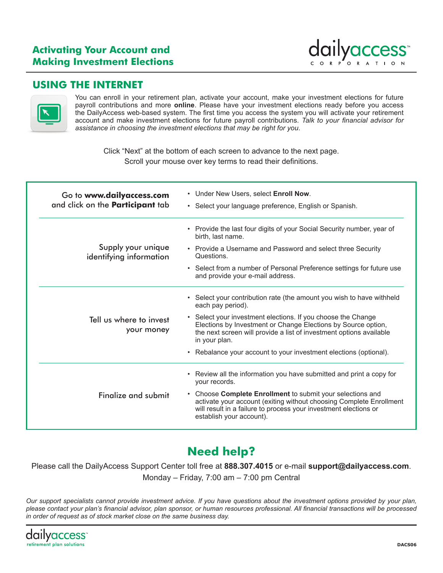### **Activating Your Account and Making Investment Elections**



### **USING THE INTERNET**



You can enroll in your retirement plan, activate your account, make your investment elections for future payroll contributions and more **online**. Please have your investment elections ready before you access the DailyAccess web-based system. The first time you access the system you will activate your retirement account and make investment elections for future payroll contributions. *Talk to your financial advisor for assistance in choosing the investment elections that may be right for you*.

Click "Next" at the bottom of each screen to advance to the next page. Scroll your mouse over key terms to read their definitions.

| Go to www.dailyaccess.com<br>and click on the Participant tab | • Under New Users, select Enroll Now.<br>• Select your language preference, English or Spanish.                                                                                                                                   |
|---------------------------------------------------------------|-----------------------------------------------------------------------------------------------------------------------------------------------------------------------------------------------------------------------------------|
|                                                               | • Provide the last four digits of your Social Security number, year of<br>birth. last name.                                                                                                                                       |
| Supply your unique<br>identifying information                 | • Provide a Username and Password and select three Security<br>Questions.                                                                                                                                                         |
|                                                               | • Select from a number of Personal Preference settings for future use<br>and provide your e-mail address.                                                                                                                         |
|                                                               | • Select your contribution rate (the amount you wish to have withheld<br>each pay period).                                                                                                                                        |
| Tell us where to invest<br>your money                         | • Select your investment elections. If you choose the Change<br>Elections by Investment or Change Elections by Source option,<br>the next screen will provide a list of investment options available<br>in your plan.             |
|                                                               | • Rebalance your account to your investment elections (optional).                                                                                                                                                                 |
|                                                               | • Review all the information you have submitted and print a copy for<br>your records.                                                                                                                                             |
| Finalize and submit                                           | • Choose Complete Enrollment to submit your selections and<br>activate your account (exiting without choosing Complete Enrollment<br>will result in a failure to process your investment elections or<br>establish your account). |

# **Need help?**

Please call the DailyAccess Support Center toll free at **888.307.4015** or e-mail **support@dailyaccess.com**. Monday – Friday, 7:00 am – 7:00 pm Central

*Our support specialists cannot provide investment advice. If you have questions about the investment options provided by your plan, please contact your plan's financial advisor, plan sponsor, or human resources professional. All financial transactions will be processed in order of request as of stock market close on the same business day.*